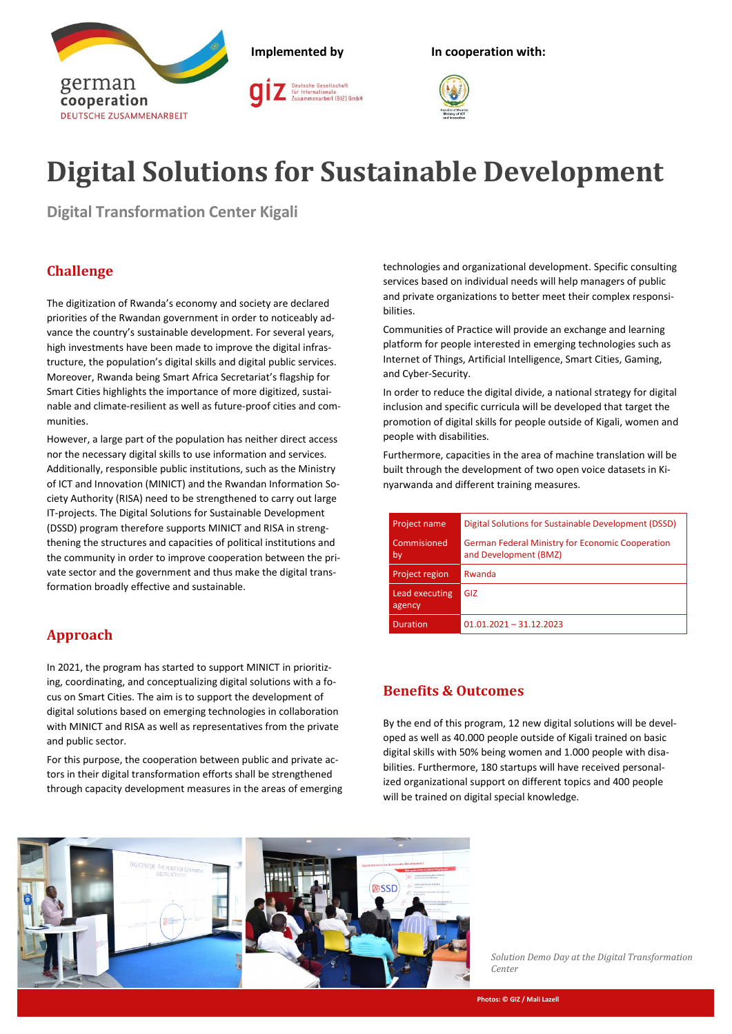

# **Digital Solutions for Sustainable Development**

**Digital Transformation Center Kigali**

# **Challenge**

The digitization of Rwanda's economy and society are declared priorities of the Rwandan government in order to noticeably advance the country's sustainable development. For several years, high investments have been made to improve the digital infrastructure, the population's digital skills and digital public services. Moreover, Rwanda being Smart Africa Secretariat's flagship for Smart Cities highlights the importance of more digitized, sustainable and climate-resilient as well as future-proof cities and communities.

However, a large part of the population has neither direct access nor the necessary digital skills to use information and services. Additionally, responsible public institutions, such as the Ministry of ICT and Innovation (MINICT) and the Rwandan Information Society Authority (RISA) need to be strengthened to carry out large IT-projects. The Digital Solutions for Sustainable Development (DSSD) program therefore supports MINICT and RISA in strengthening the structures and capacities of political institutions and the community in order to improve cooperation between the private sector and the government and thus make the digital transformation broadly effective and sustainable.

# **Approach**

In 2021, the program has started to support MINICT in prioritizing, coordinating, and conceptualizing digital solutions with a focus on Smart Cities. The aim is to support the development of digital solutions based on emerging technologies in collaboration with MINICT and RISA as well as representatives from the private and public sector.

For this purpose, the cooperation between public and private actors in their digital transformation efforts shall be strengthened through capacity development measures in the areas of emerging technologies and organizational development. Specific consulting services based on individual needs will help managers of public and private organizations to better meet their complex responsibilities.

Communities of Practice will provide an exchange and learning platform for people interested in emerging technologies such as Internet of Things, Artificial Intelligence, Smart Cities, Gaming, and Cyber-Security.

In order to reduce the digital divide, a national strategy for digital inclusion and specific curricula will be developed that target the promotion of digital skills for people outside of Kigali, women and people with disabilities.

Furthermore, capacities in the area of machine translation will be built through the development of two open voice datasets in Kinyarwanda and different training measures.

| Project name             | Digital Solutions for Sustainable Development (DSSD)                             |  |
|--------------------------|----------------------------------------------------------------------------------|--|
| Commisioned<br>by        | <b>German Federal Ministry for Economic Cooperation</b><br>and Development (BMZ) |  |
| Project region           | Rwanda                                                                           |  |
| Lead executing<br>agency | GIZ                                                                              |  |
| <b>Duration</b>          | $01.01.2021 - 31.12.2023$                                                        |  |

## **Benefits & Outcomes**

By the end of this program, 12 new digital solutions will be developed as well as 40.000 people outside of Kigali trained on basic digital skills with 50% being women and 1.000 people with disabilities. Furthermore, 180 startups will have received personalized organizational support on different topics and 400 people will be trained on digital special knowledge.



*Solution Demo Day at the Digital Transformation Center*